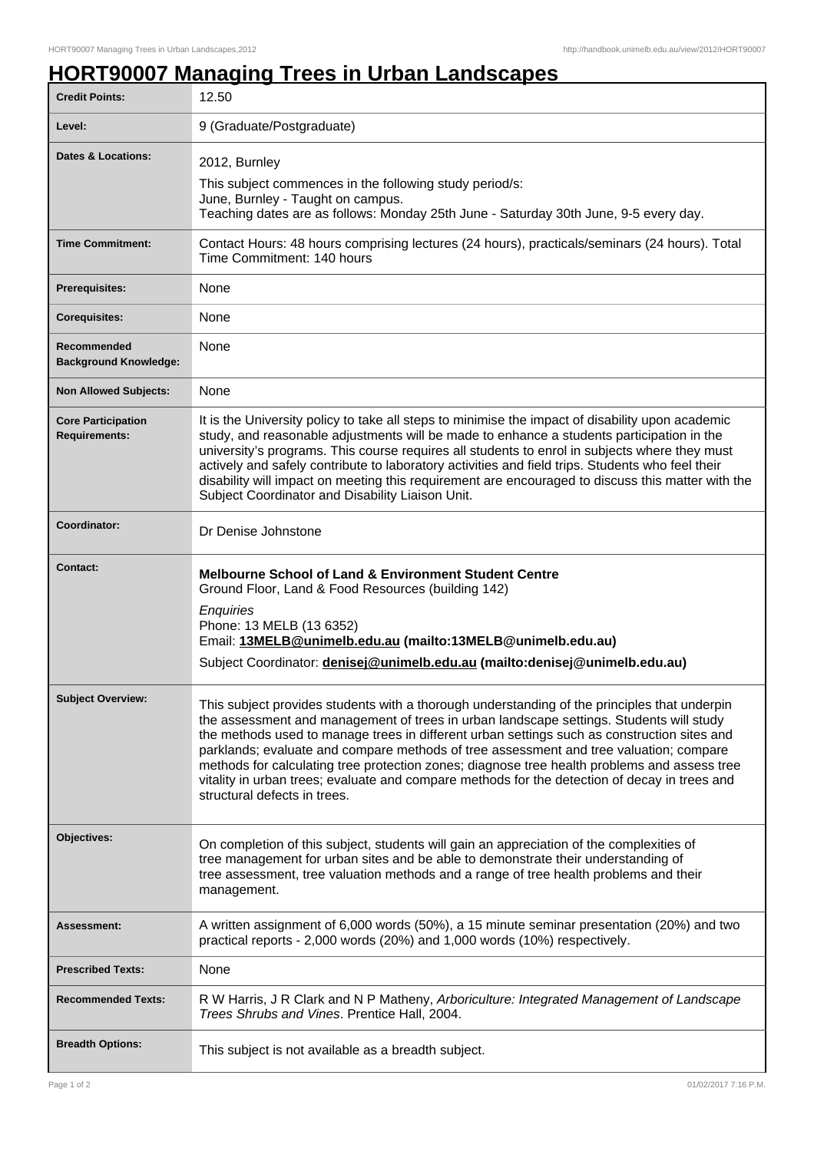## **HORT90007 Managing Trees in Urban Landscapes**

| <b>Credit Points:</b>                             | 12.50                                                                                                                                                                                                                                                                                                                                                                                                                                                                                                                                                                                                             |
|---------------------------------------------------|-------------------------------------------------------------------------------------------------------------------------------------------------------------------------------------------------------------------------------------------------------------------------------------------------------------------------------------------------------------------------------------------------------------------------------------------------------------------------------------------------------------------------------------------------------------------------------------------------------------------|
| Level:                                            | 9 (Graduate/Postgraduate)                                                                                                                                                                                                                                                                                                                                                                                                                                                                                                                                                                                         |
| <b>Dates &amp; Locations:</b>                     | 2012, Burnley<br>This subject commences in the following study period/s:<br>June, Burnley - Taught on campus.<br>Teaching dates are as follows: Monday 25th June - Saturday 30th June, 9-5 every day.                                                                                                                                                                                                                                                                                                                                                                                                             |
| <b>Time Commitment:</b>                           | Contact Hours: 48 hours comprising lectures (24 hours), practicals/seminars (24 hours). Total<br>Time Commitment: 140 hours                                                                                                                                                                                                                                                                                                                                                                                                                                                                                       |
| <b>Prerequisites:</b>                             | None                                                                                                                                                                                                                                                                                                                                                                                                                                                                                                                                                                                                              |
| <b>Corequisites:</b>                              | None                                                                                                                                                                                                                                                                                                                                                                                                                                                                                                                                                                                                              |
| Recommended<br><b>Background Knowledge:</b>       | None                                                                                                                                                                                                                                                                                                                                                                                                                                                                                                                                                                                                              |
| <b>Non Allowed Subjects:</b>                      | None                                                                                                                                                                                                                                                                                                                                                                                                                                                                                                                                                                                                              |
| <b>Core Participation</b><br><b>Requirements:</b> | It is the University policy to take all steps to minimise the impact of disability upon academic<br>study, and reasonable adjustments will be made to enhance a students participation in the<br>university's programs. This course requires all students to enrol in subjects where they must<br>actively and safely contribute to laboratory activities and field trips. Students who feel their<br>disability will impact on meeting this requirement are encouraged to discuss this matter with the<br>Subject Coordinator and Disability Liaison Unit.                                                       |
| Coordinator:                                      | Dr Denise Johnstone                                                                                                                                                                                                                                                                                                                                                                                                                                                                                                                                                                                               |
| <b>Contact:</b>                                   | <b>Melbourne School of Land &amp; Environment Student Centre</b><br>Ground Floor, Land & Food Resources (building 142)<br>Enquiries<br>Phone: 13 MELB (13 6352)<br>Email: 13MELB@unimelb.edu.au (mailto:13MELB@unimelb.edu.au)<br>Subject Coordinator: denisej@unimelb.edu.au (mailto:denisej@unimelb.edu.au)                                                                                                                                                                                                                                                                                                     |
| <b>Subject Overview:</b>                          | This subject provides students with a thorough understanding of the principles that underpin<br>the assessment and management of trees in urban landscape settings. Students will study<br>the methods used to manage trees in different urban settings such as construction sites and<br>parklands; evaluate and compare methods of tree assessment and tree valuation; compare<br>methods for calculating tree protection zones; diagnose tree health problems and assess tree<br>vitality in urban trees; evaluate and compare methods for the detection of decay in trees and<br>structural defects in trees. |
| Objectives:                                       | On completion of this subject, students will gain an appreciation of the complexities of<br>tree management for urban sites and be able to demonstrate their understanding of<br>tree assessment, tree valuation methods and a range of tree health problems and their<br>management.                                                                                                                                                                                                                                                                                                                             |
| <b>Assessment:</b>                                | A written assignment of 6,000 words (50%), a 15 minute seminar presentation (20%) and two<br>practical reports - 2,000 words (20%) and 1,000 words (10%) respectively.                                                                                                                                                                                                                                                                                                                                                                                                                                            |
| <b>Prescribed Texts:</b>                          | None                                                                                                                                                                                                                                                                                                                                                                                                                                                                                                                                                                                                              |
| <b>Recommended Texts:</b>                         | R W Harris, J R Clark and N P Matheny, Arboriculture: Integrated Management of Landscape<br>Trees Shrubs and Vines. Prentice Hall, 2004.                                                                                                                                                                                                                                                                                                                                                                                                                                                                          |
| <b>Breadth Options:</b>                           | This subject is not available as a breadth subject.                                                                                                                                                                                                                                                                                                                                                                                                                                                                                                                                                               |